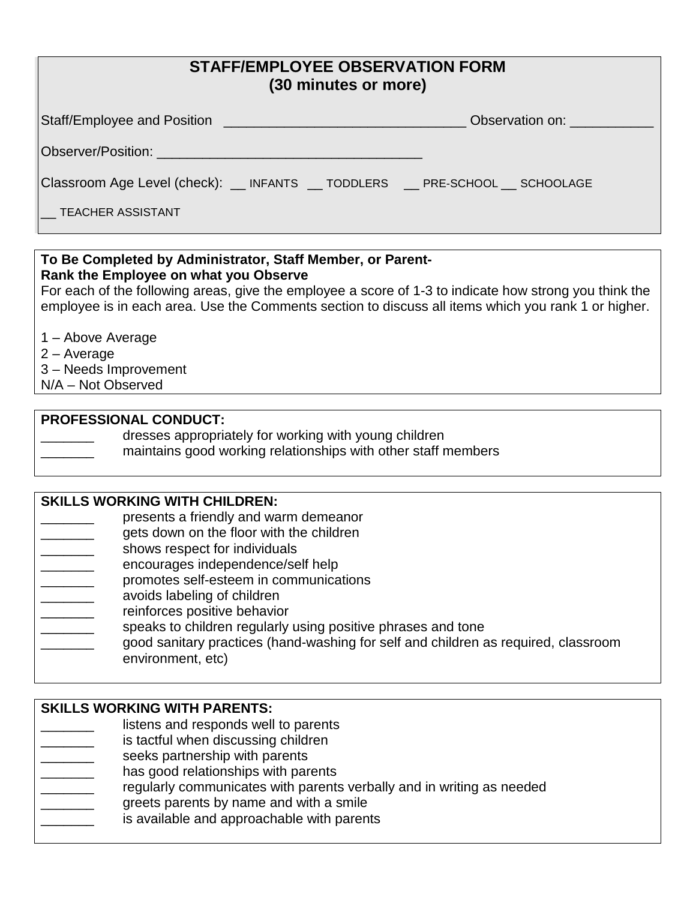## **STAFF/EMPLOYEE OBSERVATION FORM (30 minutes or more)**

|                                                                                | Observation on: |  |  |  |  |
|--------------------------------------------------------------------------------|-----------------|--|--|--|--|
|                                                                                |                 |  |  |  |  |
| Classroom Age Level (check): __ INFANTS __ TODDLERS __ PRE-SCHOOL __ SCHOOLAGE |                 |  |  |  |  |
| $\overline{\phantom{a}}$ TEACHER ASSISTANT                                     |                 |  |  |  |  |

### **To Be Completed by Administrator, Staff Member, or Parent-Rank the Employee on what you Observe**

For each of the following areas, give the employee a score of 1-3 to indicate how strong you think the employee is in each area. Use the Comments section to discuss all items which you rank 1 or higher.

1 – Above Average

2 – Average

3 – Needs Improvement

N/A – Not Observed

### **PROFESSIONAL CONDUCT:**

dresses appropriately for working with young children

maintains good working relationships with other staff members

#### **SKILLS WORKING WITH CHILDREN:**

presents a friendly and warm demeanor

- \_\_\_\_\_\_\_ gets down on the floor with the children
- shows respect for individuals
- encourages independence/self help
- promotes self-esteem in communications
- avoids labeling of children
- reinforces positive behavior
- speaks to children regularly using positive phrases and tone
- \_\_\_\_\_\_\_ good sanitary practices (hand-washing for self and children as required, classroom environment, etc)

#### **SKILLS WORKING WITH PARENTS:**

- listens and responds well to parents
- is tactful when discussing children
- seeks partnership with parents
- has good relationships with parents
- regularly communicates with parents verbally and in writing as needed
- greets parents by name and with a smile
- is available and approachable with parents